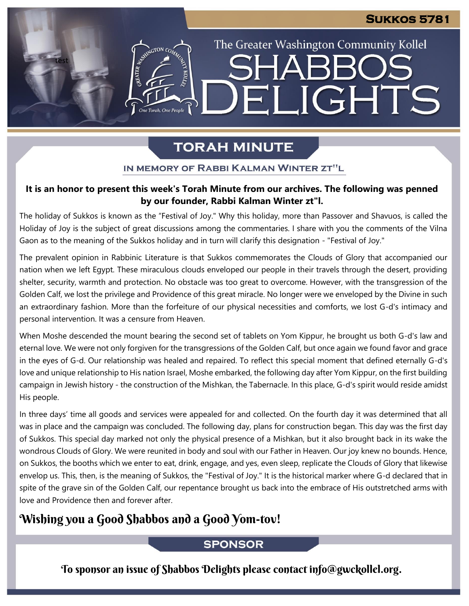The Greater Washington Community Kollel

**ARR** 

ELIGHTS

# **TORAH MINUTE**

#### IN MEMORY OF RABBI KALMAN WINTER ZT"L

## It is an honor to present this week's Torah Minute from our archives. The following was penned **by our founder, Rabbi Kalman Winter zt"l.**

The holiday of Sukkos is known as the "Festival of Joy." Why this holiday, more than Passover and Shavuos, is called the Holiday of Joy is the subject of great discussions among the commentaries. I share with you the comments of the Vilna Gaon as to the meaning of the Sukkos holiday and in turn will clarify this designation - "Festival of Joy."

The prevalent opinion in Rabbinic Literature is that Sukkos commemorates the Clouds of Glory that accompanied our nation when we left Egypt. These miraculous clouds enveloped our people in their travels through the desert, providing shelter, security, warmth and protection. No obstacle was too great to overcome. However, with the transgression of the Golden Calf, we lost the privilege and Providence of this great miracle. No longer were we enveloped by the Divine in such an extraordinary fashion. More than the forfeiture of our physical necessities and comforts, we lost G-d's intimacy and personal intervention. It was a censure from Heaven.

When Moshe descended the mount bearing the second set of tablets on Yom Kippur, he brought us both G-d's law and eternal love. We were not only forgiven for the transgressions of the Golden Calf, but once again we found favor and grace in the eyes of G-d. Our relationship was healed and repaired. To reflect this special moment that defined eternally G-d's love and unique relationship to His nation Israel, Moshe embarked, the following day after Yom Kippur, on the first building campaign in Jewish history - the construction of the Mishkan, the Tabernacle. In this place, G-d's spirit would reside amidst His people.

In three days' time all goods and services were appealed for and collected. On the fourth day it was determined that all was in place and the campaign was concluded. The following day, plans for construction began. This day was the first day of Sukkos. This special day marked not only the physical presence of a Mishkan, but it also brought back in its wake the wondrous Clouds of Glory. We were reunited in body and soul with our Father in Heaven. Our joy knew no bounds. Hence, on Sukkos, the booths which we enter to eat, drink, engage, and yes, even sleep, replicate the Clouds of Glory that likewise envelop us. This, then, is the meaning of Sukkos, the "Festival of Joy." It is the historical marker where G-d declared that in spite of the grave sin of the Golden Calf, our repentance brought us back into the embrace of His outstretched arms with love and Providence then and forever after.

## Wishing you a Good Shabbos and a Good Yom-tov!

test

ESTER AVENUE TON CON

One Torah, One People

## **SPONSOR**

To sponsor an issue of Shabbos Delights please contact info@gwckollel.org.